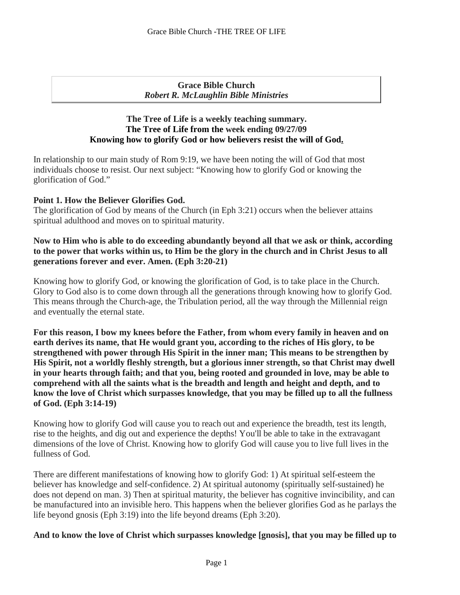### **Grace Bible Church** *Robert R. McLaughlin Bible Ministries*

### **The Tree of Life is a weekly teaching summary. The Tree of Life from the week ending 09/27/09 Knowing how to glorify God or how believers resist the will of God.**

n relationship to our main study of Rom 9:19, we have been noting the will of God that most I individuals choose to resist. Our next subject: "Knowing how to glorify God or knowing the glorification of God."

### **Point 1. How the Believer Glorifies God.**

The glorification of God by means of the Church (in Eph 3:21) occurs when the believer attains spiritual adulthood and moves on to spiritual maturity.

### **Now to Him who is able to do exceeding abundantly beyond all that we ask or think, according to the power that works within us, to Him be the glory in the church and in Christ Jesus to all generations forever and ever. Amen. (Eph 3:20-21)**

Knowing how to glorify God, or knowing the glorification of God, is to take place in the Church. Glory to God also is to come down through all the generations through knowing how to glorify God. This means through the Church-age, the Tribulation period, all the way through the Millennial reign and eventually the eternal state.

**For this reason, I bow my knees before the Father, from whom every family in heaven and on earth derives its name, that He would grant you, according to the riches of His glory, to be strengthened with power through His Spirit in the inner man; This means to be strengthen by His Spirit, not a worldly fleshly strength, but a glorious inner strength, so that Christ may dwell in your hearts through faith; and that you, being rooted and grounded in love, may be able to comprehend with all the saints what is the breadth and length and height and depth, and to know the love of Christ which surpasses knowledge, that you may be filled up to all the fullness of God. (Eph 3:14-19)**

Knowing how to glorify God will cause you to reach out and experience the breadth, test its length, rise to the heights, and dig out and experience the depths!You'll be able to take in the extravagant dimensions of the love of Christ. Knowing how to glorify God will cause you to live full lives in the fullness of God.

There are different manifestations of knowing how to glorify God: 1) At spiritual self-esteem the believer has knowledge and self-confidence. 2) At spiritual autonomy (spiritually self-sustained) he does not depend on man. 3) Then at spiritual maturity, the believer has cognitive invincibility, and can be manufactured into an invisible hero. This happens when the believer glorifies God as he parlays the life beyond gnosis (Eph 3:19) into the life beyond dreams (Eph 3:20).

**And to know the love of Christ which surpasses knowledge [gnosis], that you may be filled up to**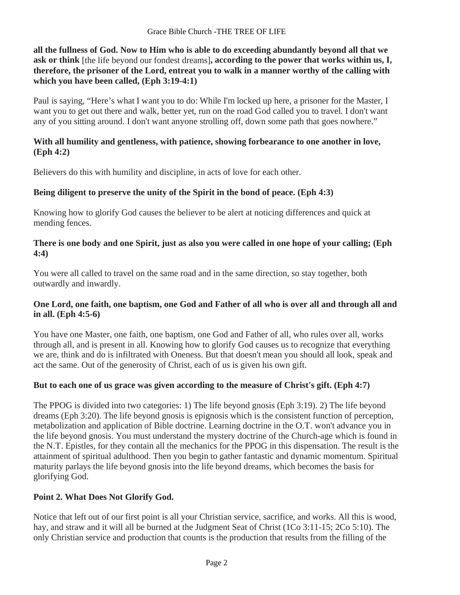**all the fullness of God. Now to Him who is able to do exceeding abundantly beyond all that we ask or think** [the life beyond our fondest dreams]**, according to the power that works within us, I, therefore, the prisoner of the Lord, entreat you to walk in a manner worthy of the calling with which you have been called, (Eph 3:19-4:1)**

Paul is saying, "Here's what I want you to do: While I'm locked up here, a prisoner for the Master, I want you to get out there and walk, better yet, run on the road God called you to travel. I don't want any of you sitting around. I don't want anyone strolling off, down some path that goes nowhere."

### **With all humility and gentleness, with patience, showing forbearance to one another in love, (Eph 4:2)**

Believers do this with humility and discipline, in acts of love for each other.

# **Being diligent to preserve the unity of the Spirit in the bond of peace. (Eph 4:3)**

Knowing how to glorify God causes the believer to be alert at noticing differences and quick at mending fences.

## **There is one body and one Spirit, just as also you were called in one hope of your calling; (Eph 4:4)**

You were all called to travel on the same road and in the same direction, so stay together, both outwardly and inwardly.

## **One Lord, one faith, one baptism, one God and Father of all who is over all and through all and in all. (Eph 4:5-6)**

You have one Master, one faith, one baptism, one God and Father of all, who rules over all, works through all, and is present in all. Knowing how to glorify God causes us to recognize that everything we are, think and do is infiltrated with Oneness. But that doesn't mean you should all look, speak and act the same. Out of the generosity of Christ, each of us is given his own gift.

# **But to each one of us grace was given according to the measure of Christ's gift. (Eph 4:7)**

The PPOG is divided into two categories: 1) The life beyond gnosis (Eph 3:19). 2) The life beyond dreams (Eph 3:20). The life beyond gnosis is epignosis which is the consistent function of perception, metabolization and application of Bible doctrine. Learning doctrine in the O.T. won't advance you in the life beyond gnosis. You must understand the mystery doctrine of the Church-age which is found in the N.T. Epistles, for they contain all the mechanics for the PPOG in this dispensation. The result is the attainment of spiritual adulthood. Then you begin to gather fantastic and dynamic momentum. Spiritual maturity parlays the life beyond gnosis into the life beyond dreams, which becomes the basis for glorifying God.

# **Point 2. What Does Not Glorify God.**

Notice that left out of our first point is all your Christian service, sacrifice, and works. All this is wood, hay, and straw and it will all be burned at the Judgment Seat of Christ (1Co 3:11-15; 2Co 5:10). The only Christian service and production that counts is the production that results from the filling of the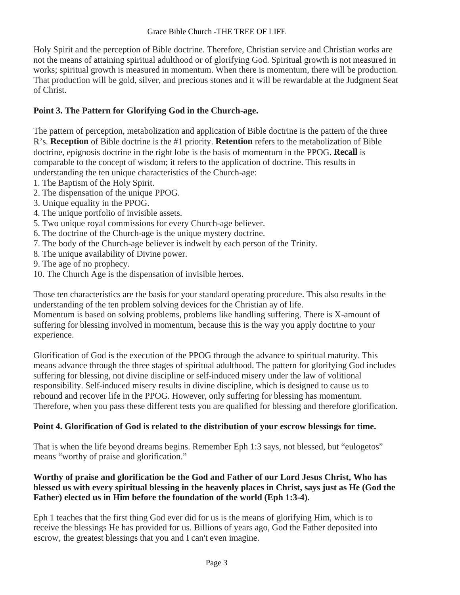Holy Spirit and the perception of Bible doctrine. Therefore, Christian service and Christian works are not the means of attaining spiritual adulthood or of glorifying God. Spiritual growth is not measured in works; spiritual growth is measured in momentum. When there is momentum, there will be production. That production will be gold, silver, and precious stones and it will be rewardable at the Judgment Seat of Christ.

## **Point 3. The Pattern for Glorifying God in the Church-age.**

The pattern of perception, metabolization and application of Bible doctrine is the pattern of the three R's. **Reception** of Bible doctrine is the #1 priority. **Retention** refers to the metabolization of Bible doctrine, epignosis doctrine in the right lobe is the basis of momentum in the PPOG. **Recall** is comparable to the concept of wisdom; it refers to the application of doctrine. This results in understanding the ten unique characteristics of the Church-age:

- 1. The Baptism of the Holy Spirit.
- 2. The dispensation of the unique PPOG.
- 3. Unique equality in the PPOG.
- 4. The unique portfolio of invisible assets.
- 5. Two unique royal commissions for every Church-age believer.
- 6. The doctrine of the Church-age is the unique mystery doctrine.
- 7. The body of the Church-age believer is indwelt by each person of the Trinity.
- 8. The unique availability of Divine power.
- 9. The age of no prophecy.
- 10. The Church Age is the dispensation of invisible heroes.

Those ten characteristics are the basis for your standard operating procedure. This also results in the understanding of the ten problem solving devices for the Christian ay of life.

Momentum is based on solving problems, problems like handling suffering. There is X-amount of suffering for blessing involved in momentum, because this is the way you apply doctrine to your experience.

Glorification of God is the execution of the PPOG through the advance to spiritual maturity. This means advance through the three stages of spiritual adulthood. The pattern for glorifying God includes suffering for blessing, not divine discipline or self-induced misery under the law of volitional responsibility. Self-induced misery results in divine discipline, which is designed to cause us to rebound and recover life in the PPOG. However, only suffering for blessing has momentum. Therefore, when you pass these different tests you are qualified for blessing and therefore glorification.

## **Point 4. Glorification of God is related to the distribution of your escrow blessings for time.**

That is when the life beyond dreams begins. Remember Eph 1:3 says, not blessed, but "eulogetos" means "worthy of praise and glorification."

## **Worthy of praise and glorification be the God and Father of our Lord Jesus Christ, Who has blessed us with every spiritual blessing in the heavenly places in Christ, says just as He (God the Father) elected us in Him before the foundation of the world (Eph 1:3-4).**

Eph 1 teaches that the first thing God ever did for us is the means of glorifying Him, which is to receive the blessings He has provided for us. Billions of years ago, God the Father deposited into escrow, the greatest blessings that you and I can't even imagine.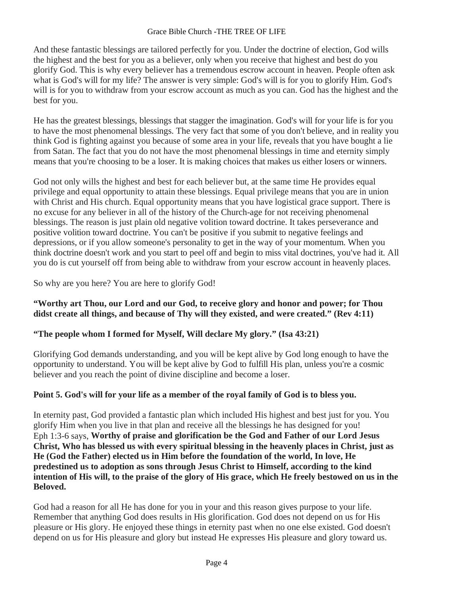#### Grace Bible Church -THE TREE OF LIFE

And these fantastic blessings are tailored perfectly for you. Under the doctrine of election, God wills the highest and the best for you as a believer, only when you receive that highest and best do you glorify God. This is why every believer has a tremendous escrow account in heaven. People often ask what is God's will for my life? The answer is very simple: God's will is for you to glorify Him. God's will is for you to withdraw from your escrow account as much as you can. God has the highest and the best for you.

He has the greatest blessings, blessings that stagger the imagination. God's will for your life is for you to have the most phenomenal blessings. The very fact that some of you don't believe, and in reality you think God is fighting against you because of some area in your life, reveals that you have bought a lie from Satan. The fact that you do not have the most phenomenal blessings in time and eternity simply means that you're choosing to be a loser. It is making choices that makes us either losers or winners.

God not only wills the highest and best for each believer but, at the same time He provides equal privilege and equal opportunity to attain these blessings. Equal privilege means that you are in union with Christ and His church. Equal opportunity means that you have logistical grace support. There is no excuse for any believer in all of the history of the Church-age for not receiving phenomenal blessings. The reason is just plain old negative volition toward doctrine. It takes perseverance and positive volition toward doctrine. You can't be positive if you submit to negative feelings and depressions, or if you allow someone's personality to get in the way of your momentum. When you think doctrine doesn't work and you start to peel off and begin to miss vital doctrines, you've had it. All you do is cut yourself off from being able to withdraw from your escrow account in heavenly places.

So why are you here? You are here to glorify God!

### **"Worthy art Thou, our Lord and our God, to receive glory and honor and power; for Thou didst create all things, and because of Thy will they existed, and were created." (Rev 4:11)**

## **"The people whom I formed for Myself, Will declare My glory." (Isa 43:21)**

Glorifying God demands understanding, and you will be kept alive by God long enough to have the opportunity to understand. You will be kept alive by God to fulfill His plan, unless you're a cosmic believer and you reach the point of divine discipline and become a loser.

## **Point 5. God's will for your life as a member of the royal family of God is to bless you.**

In eternity past, God provided a fantastic plan which included His highest and best just for you. You glorify Him when you live in that plan and receive all the blessings he has designed for you! Eph 1:3-6 says, **Worthy of praise and glorification be the God and Father of our Lord Jesus Christ, Who has blessed us with every spiritual blessing in the heavenly places in Christ, just as He (God the Father) elected us in Him before the foundation of the world, In love, He predestined us to adoption as sons through Jesus Christ to Himself, according to the kind intention of His will, to the praise of the glory of His grace, which He freely bestowed on us in the Beloved.**

God had a reason for all He has done for you in your and this reason gives purpose to your life. Remember that anything God does results in His glorification. God does not depend on us for His pleasure or His glory. He enjoyed these things in eternity past when no one else existed. God doesn't depend on us for His pleasure and glory but instead He expresses His pleasure and glory toward us.